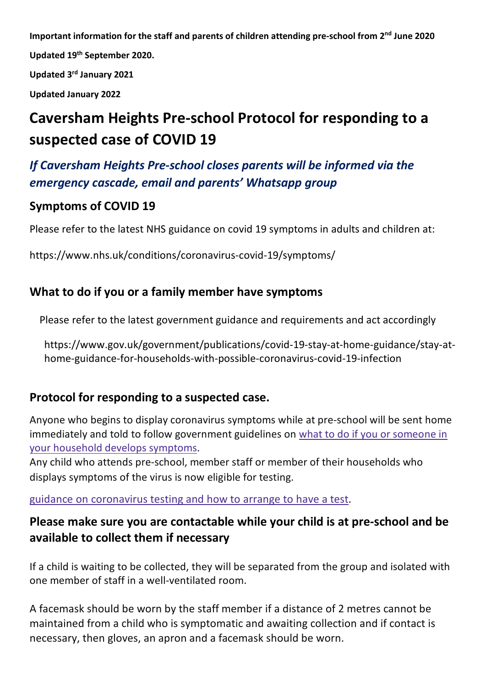**Important information for the staff and parents of children attending pre-school from 2nd June 2020 Updated 19th September 2020.**

**Updated 3rd January 2021**

**Updated January 2022**

# **Caversham Heights Pre-school Protocol for responding to a suspected case of COVID 19**

# *If Caversham Heights Pre-school closes parents will be informed via the emergency cascade, email and parents' Whatsapp group*

# **Symptoms of COVID 19**

Please refer to the latest NHS guidance on covid 19 symptoms in adults and children at:

https://www.nhs.uk/conditions/coronavirus-covid-19/symptoms/

# **What to do if you or a family member have symptoms**

Please refer to the latest government guidance and requirements and act accordingly

https://www.gov.uk/government/publications/covid-19-stay-at-home-guidance/stay-athome-guidance-for-households-with-possible-coronavirus-covid-19-infection

# **Protocol for responding to a suspected case.**

Anyone who begins to display coronavirus symptoms while at pre-school will be sent home immediately and told to follow government guidelines on what to do if you or someone in your household develops symptoms.

Any child who attends pre-school, member staff or member of their households who displays symptoms of the virus is now eligible for testing.

## guidance on coronavirus testing and how to arrange to have a test.

# **Please make sure you are contactable while your child is at pre-school and be available to collect them if necessary**

If a child is waiting to be collected, they will be separated from the group and isolated with one member of staff in a well-ventilated room.

A facemask should be worn by the staff member if a distance of 2 metres cannot be maintained from a child who is symptomatic and awaiting collection and if contact is necessary, then gloves, an apron and a facemask should be worn.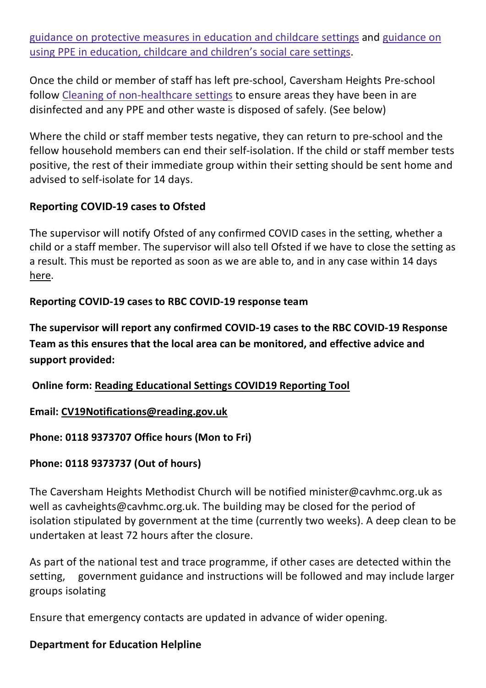guidance on protective measures in education and childcare settings and guidance on using PPE in education, childcare and children's social care settings.

Once the child or member of staff has left pre-school, Caversham Heights Pre-school follow Cleaning of non-healthcare settings to ensure areas they have been in are disinfected and any PPE and other waste is disposed of safely. (See below)

Where the child or staff member tests negative, they can return to pre-school and the fellow household members can end their self-isolation. If the child or staff member tests positive, the rest of their immediate group within their setting should be sent home and advised to self-isolate for 14 days.

## **Reporting COVID-19 cases to Ofsted**

The supervisor will notify Ofsted of any confirmed COVID cases in the setting, whether a child or a staff member. The supervisor will also tell Ofsted if we have to close the setting as a result. This must be reported as soon as we are able to, and in any case within 14 days here.

## **Reporting COVID-19 cases to RBC COVID-19 response team**

**The supervisor will report any confirmed COVID-19 cases to the RBC COVID-19 Response Team as this ensures that the local area can be monitored, and effective advice and support provided:**

**Online form: Reading Educational Settings COVID19 Reporting Tool**

**Email: CV19Notifications@reading.gov.uk** 

## **Phone: 0118 9373707 Office hours (Mon to Fri)**

## **Phone: 0118 9373737 (Out of hours)**

The Caversham Heights Methodist Church will be notified minister@cavhmc.org.uk as well as cavheights@cavhmc.org.uk. The building may be closed for the period of isolation stipulated by government at the time (currently two weeks). A deep clean to be undertaken at least 72 hours after the closure.

As part of the national test and trace programme, if other cases are detected within the setting, government guidance and instructions will be followed and may include larger groups isolating

Ensure that emergency contacts are updated in advance of wider opening.

## **Department for Education Helpline**